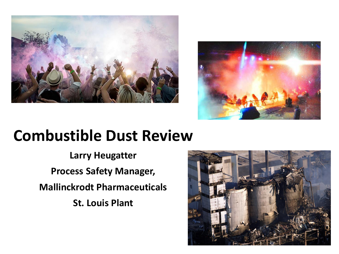



## **Combustible Dust Review**

**Larry Heugatter Process Safety Manager, Mallinckrodt Pharmaceuticals St. Louis Plant**

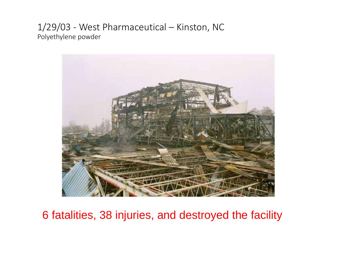#### 1/29/03 - West Pharmaceutical – Kinston, NC Polyethylene powder



6 fatalities, 38 injuries, and destroyed the facility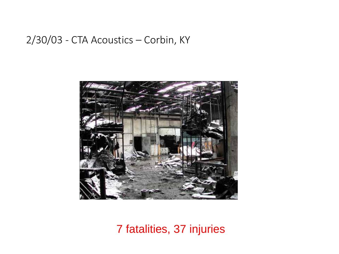#### 2/30/03 - CTA Acoustics – Corbin, KY



7 fatalities, 37 injuries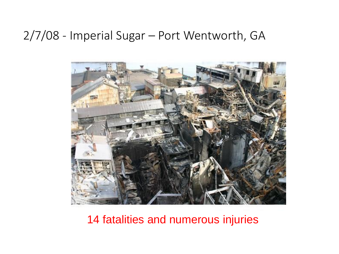#### 2/7/08 - Imperial Sugar – Port Wentworth, GA



14 fatalities and numerous injuries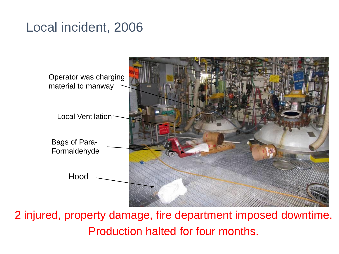#### Local incident, 2006



2 injured, property damage, fire department imposed downtime. Production halted for four months.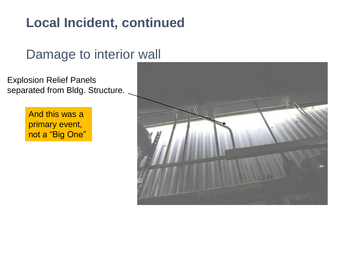### **Local Incident, continued**

#### Damage to interior wall

Explosion Relief Panels separated from Bldg. Structure.

> And this was a primary event, not a "Big One"

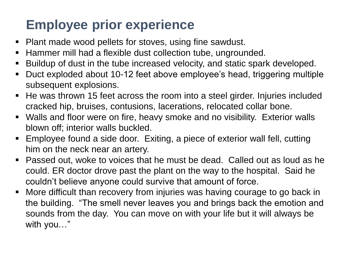### **Employee prior experience**

- Plant made wood pellets for stoves, using fine sawdust.
- Hammer mill had a flexible dust collection tube, ungrounded.
- Buildup of dust in the tube increased velocity, and static spark developed.
- Duct exploded about 10-12 feet above employee's head, triggering multiple subsequent explosions.
- He was thrown 15 feet across the room into a steel girder. Injuries included cracked hip, bruises, contusions, lacerations, relocated collar bone.
- Walls and floor were on fire, heavy smoke and no visibility. Exterior walls blown off; interior walls buckled.
- Employee found a side door. Exiting, a piece of exterior wall fell, cutting him on the neck near an artery.
- Passed out, woke to voices that he must be dead. Called out as loud as he could. ER doctor drove past the plant on the way to the hospital. Said he couldn't believe anyone could survive that amount of force.
- More difficult than recovery from injuries was having courage to go back in the building. "The smell never leaves you and brings back the emotion and sounds from the day. You can move on with your life but it will always be with you…"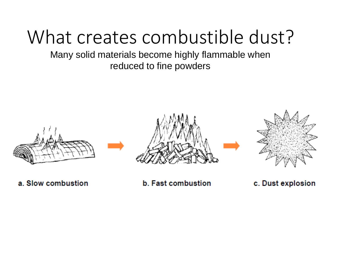# What creates combustible dust?

Many solid materials become highly flammable when reduced to fine powders



a. Slow combustion

**b.** Fast combustion

c. Dust explosion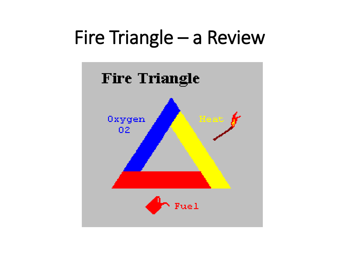# Fire Triangle – a Review

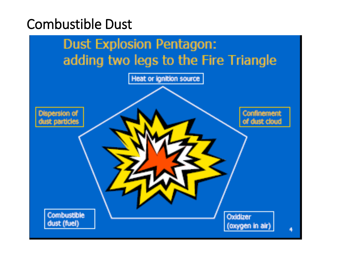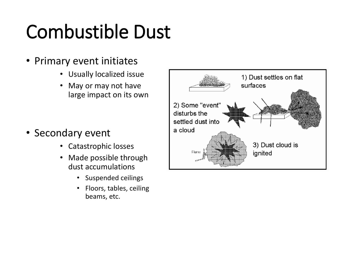- Primary event initiates
	- Usually localized issue
	- May or may not have large impact on its own

- Secondary event
	- Catastrophic losses
	- Made possible through dust accumulations
		- Suspended ceilings
		- Floors, tables, ceiling beams, etc.

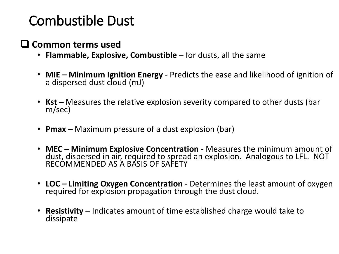#### **Common terms used**

- **Flammable, Explosive, Combustible**  for dusts, all the same
- **MIE – Minimum Ignition Energy** Predicts the ease and likelihood of ignition of a dispersed dust cloud (mJ)
- **Kst** Measures the relative explosion severity compared to other dusts (bar m/sec)
- **Pmax** Maximum pressure of a dust explosion (bar)
- **MEC – Minimum Explosive Concentration**  Measures the minimum amount of dust, dispersed in air, required to spread an explosion. Analogous to LFL. NOT RECOMMENDED AS A BASIS OF SAFETY
- **LOC – Limiting Oxygen Concentration** Determines the least amount of oxygen required for explosion propagation through the dust cloud.
- **Resistivity –** Indicates amount of time established charge would take to dissipate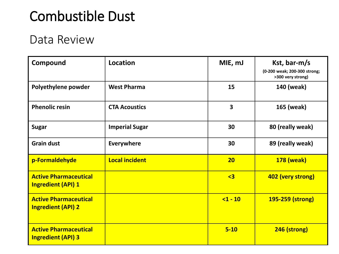#### Data Review

| Compound                                                  | <b>Location</b>       | MIE, mJ                 | Kst, bar-m/s<br>(0-200 weak; 200-300 strong; |  |
|-----------------------------------------------------------|-----------------------|-------------------------|----------------------------------------------|--|
| Polyethylene powder                                       | <b>West Pharma</b>    | 15                      | >300 very strong)<br>140 (weak)              |  |
| <b>Phenolic resin</b>                                     | <b>CTA Acoustics</b>  | $\overline{\mathbf{3}}$ | 165 (weak)                                   |  |
| <b>Sugar</b>                                              | <b>Imperial Sugar</b> | 30                      | 80 (really weak)                             |  |
| <b>Grain dust</b>                                         | <b>Everywhere</b>     | 30                      | 89 (really weak)                             |  |
| p-Formaldehyde                                            | <b>Local incident</b> | 20                      | <b>178 (weak)</b>                            |  |
| <b>Active Pharmaceutical</b><br><b>Ingredient (API) 1</b> |                       | $\overline{3}$          | 402 (very strong)                            |  |
| <b>Active Pharmaceutical</b><br><b>Ingredient (API) 2</b> |                       | $1 - 10$                | 195-259 (strong)                             |  |
| <b>Active Pharmaceutical</b><br><b>Ingredient (API) 3</b> |                       | $5 - 10$                | 246 (strong)                                 |  |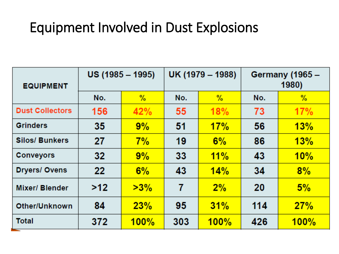### Equipment Involved in Dust Explosions

| <b>EQUIPMENT</b>       | $US (1985 - 1995)$ |        | UK (1979 – 1988) |               | Germany (1965 –<br>1980) |      |
|------------------------|--------------------|--------|------------------|---------------|--------------------------|------|
|                        | No.                | $\%$   | No.              | $\frac{9}{6}$ | No.                      | $\%$ |
| <b>Dust Collectors</b> | 156                | 42%    | 55               | 18%           | 73                       | 17%  |
| <b>Grinders</b>        | 35                 | 9%     | 51               | 17%           | 56                       | 13%  |
| <b>Silos/ Bunkers</b>  | 27                 | 7%     | 19               | 6%            | 86                       | 13%  |
| <b>Conveyors</b>       | 32                 | 9%     | 33               | 11%           | 43                       | 10%  |
| <b>Dryers/Ovens</b>    | 22                 | 6%     | 43               | 14%           | 34                       | 8%   |
| <b>Mixer/Blender</b>   | >12                | $>3\%$ | 7                | 2%            | 20                       | 5%   |
| Other/Unknown          | 84                 | 23%    | 95               | 31%           | 114                      | 27%  |
| <b>Total</b>           | 372                | 100%   | 303              | 100%          | 426                      | 100% |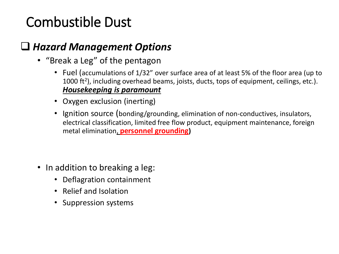#### *Hazard Management Options*

- "Break a Leg" of the pentagon
	- Fuel (accumulations of 1/32" over surface area of at least 5% of the floor area (up to 1000 ft<sup>2</sup>), including overhead beams, joists, ducts, tops of equipment, ceilings, etc.). *Housekeeping is paramount*
	- Oxygen exclusion (inerting)
	- Ignition source (bonding/grounding, elimination of non-conductives, insulators, electrical classification, limited free flow product, equipment maintenance, foreign metal elimination, **personnel grounding)**

- In addition to breaking a leg:
	- Deflagration containment
	- Relief and Isolation
	- Suppression systems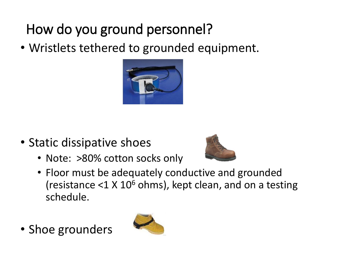## How do you ground personnel?

• Wristlets tethered to grounded equipment.



- Static dissipative shoes
	- Note: >80% cotton socks only



- Floor must be adequately conductive and grounded (resistance  $<$ 1 X 10 $<sup>6</sup>$  ohms), kept clean, and on a testing</sup> schedule.
- Shoe grounders

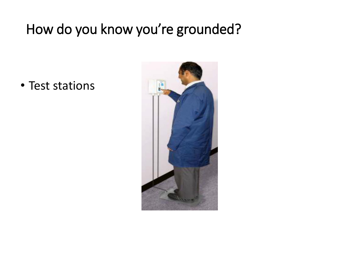## How do you know you're grounded?

• Test stations

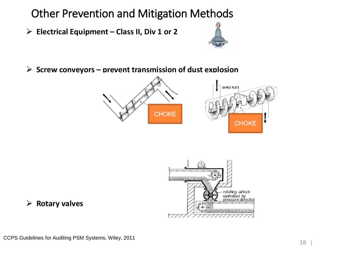Other Prevention and Mitigation Methods

➢ **Electrical Equipment – Class II, Div 1 or 2** 



➢ **Screw conveyors – prevent transmission of dust explosion**





#### ➢ **Rotary valves**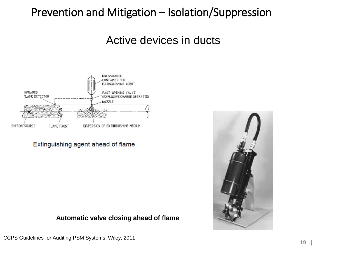#### Prevention and Mitigation – Isolation/Suppression

Active devices in ducts



Extinguishing agent ahead of flame

**Automatic valve closing ahead of flame**



CCPS Guidelines for Auditing PSM Systems, Wiley, 2011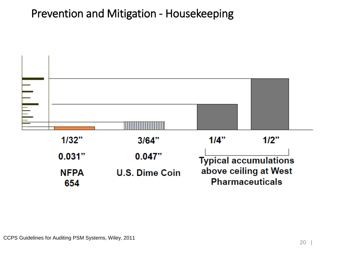#### Prevention and Mitigation - Housekeeping

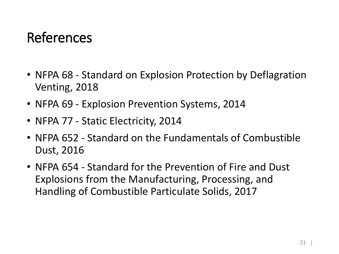### References

- NFPA 68 Standard on Explosion Protection by Deflagration Venting, 2018
- NFPA 69 Explosion Prevention Systems, 2014
- NFPA 77 Static Electricity, 2014
- NFPA 652 Standard on the Fundamentals of Combustible Dust, 2016
- NFPA 654 Standard for the Prevention of Fire and Dust Explosions from the Manufacturing, Processing, and Handling of Combustible Particulate Solids, 2017